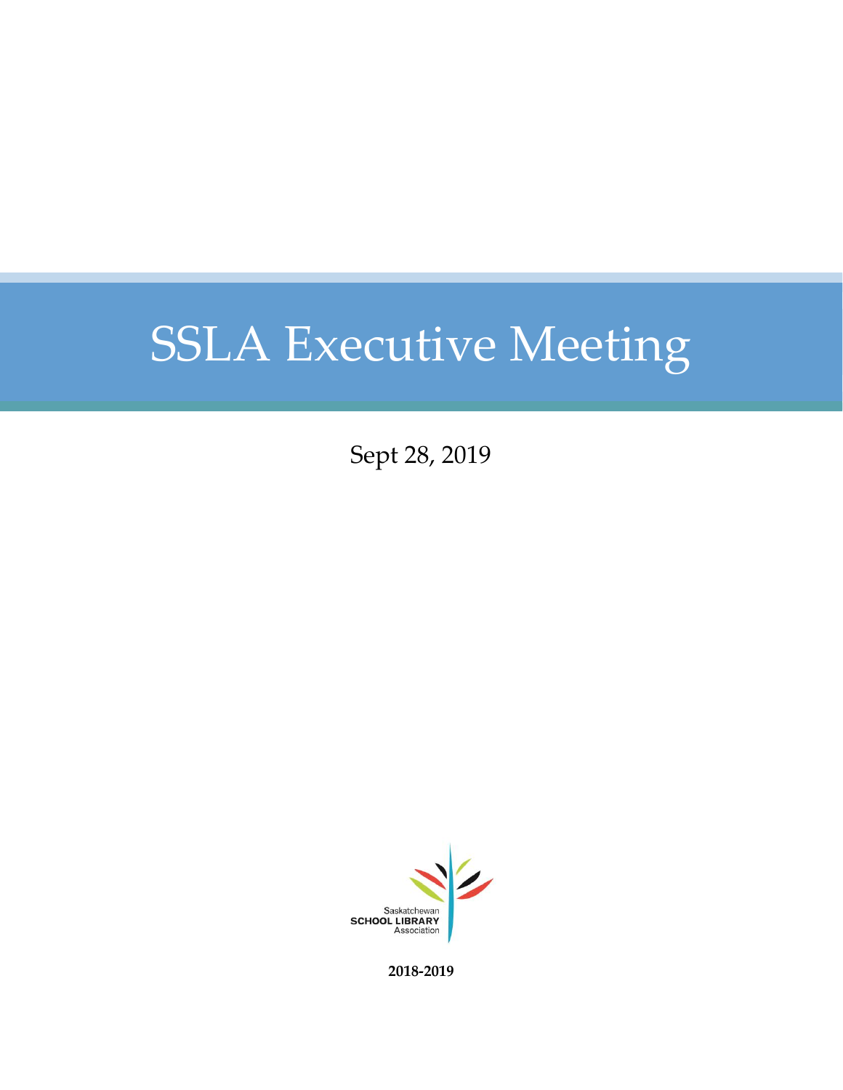Sept 28, 2019



**2018-2019**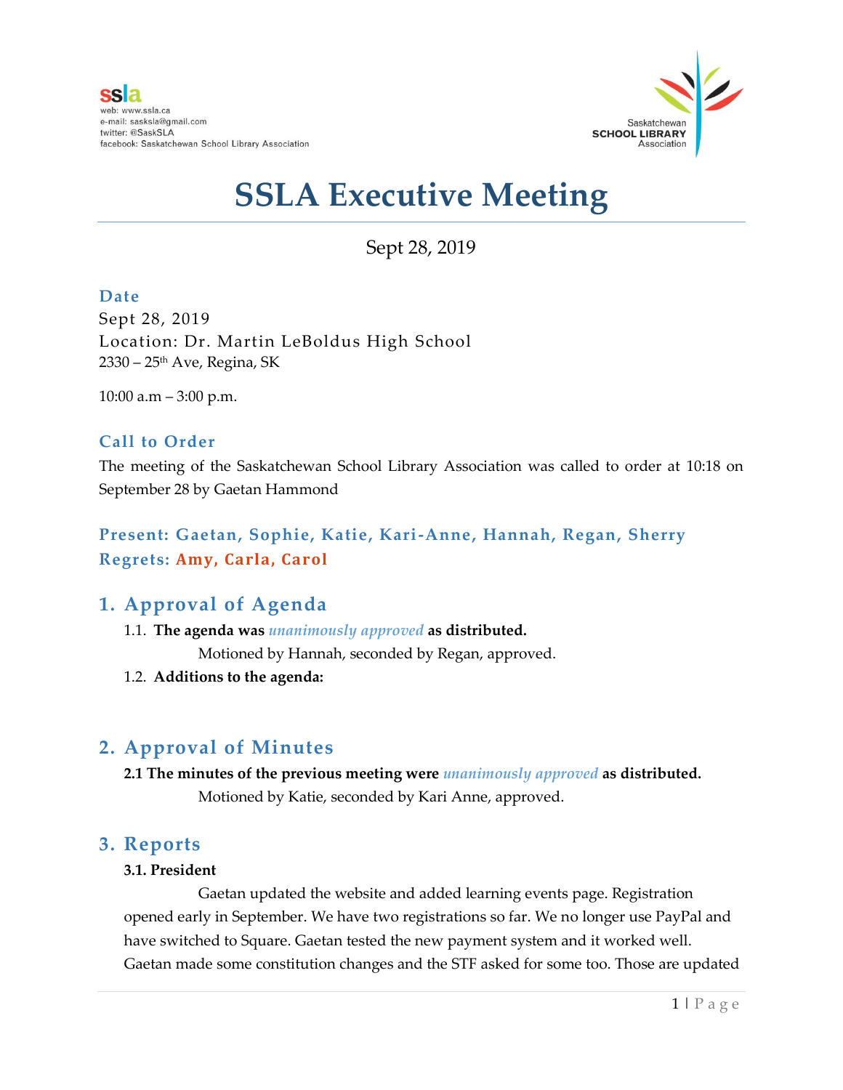

Sept 28, 2019

#### **Date**

Sept 28, 2019 Location: Dr. Martin LeBoldus High School 2330 – 25th Ave, Regina, SK

10:00 a.m – 3:00 p.m.

#### **Call to Order**

The meeting of the Saskatchewan School Library Association was called to order at 10:18 on September 28 by Gaetan Hammond

#### **Present: Gaetan, Sophie, Katie, Kari-Anne, Hannah, Regan, Sherry Regrets: Amy, Carla, Carol**

#### **1. Approval of Agenda**

1.1. **The agenda was** *unanimously approved* **as distributed.**

Motioned by Hannah, seconded by Regan, approved.

1.2. **Additions to the agenda:**

#### **2. Approval of Minutes**

**2.1 The minutes of the previous meeting were** *unanimously approved* **as distributed.** Motioned by Katie, seconded by Kari Anne, approved.

#### **3. Reports**

#### **3.1. President**

Gaetan updated the website and added learning events page. Registration opened early in September. We have two registrations so far. We no longer use PayPal and have switched to Square. Gaetan tested the new payment system and it worked well. Gaetan made some constitution changes and the STF asked for some too. Those are updated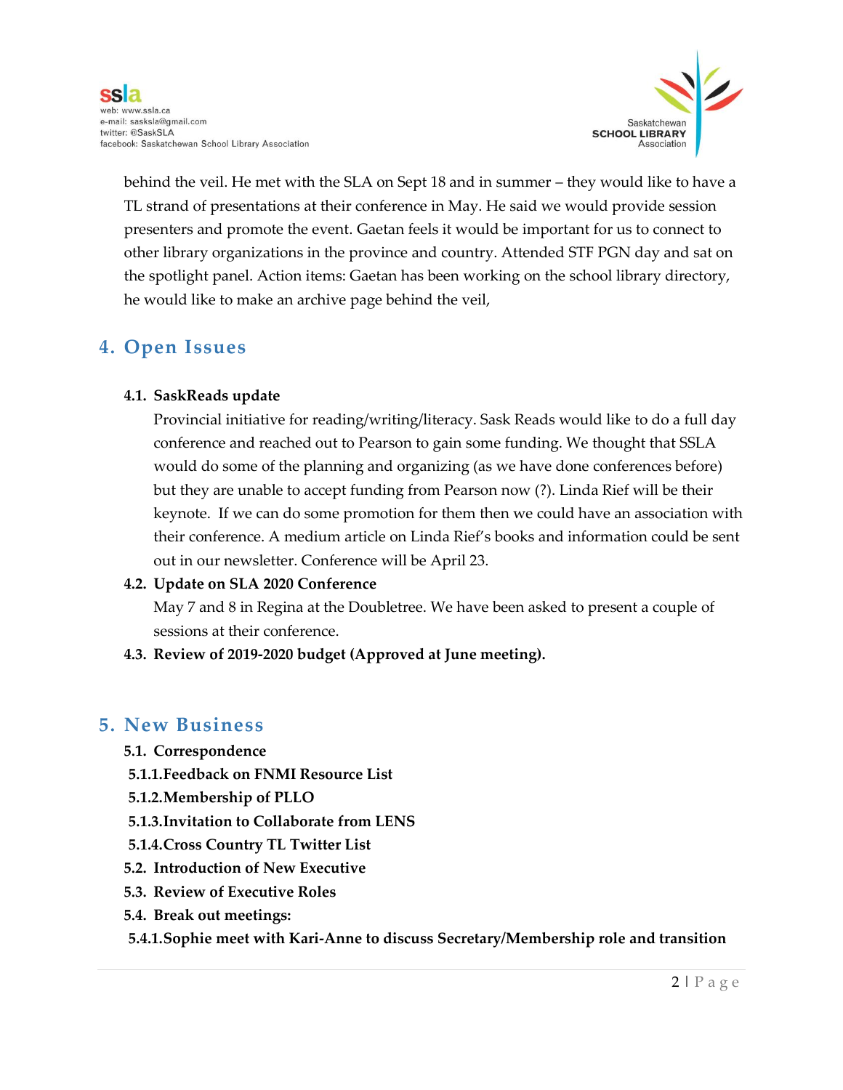

behind the veil. He met with the SLA on Sept 18 and in summer – they would like to have a TL strand of presentations at their conference in May. He said we would provide session presenters and promote the event. Gaetan feels it would be important for us to connect to other library organizations in the province and country. Attended STF PGN day and sat on the spotlight panel. Action items: Gaetan has been working on the school library directory, he would like to make an archive page behind the veil,

### **4. Open Issues**

#### **4.1. SaskReads update**

Provincial initiative for reading/writing/literacy. Sask Reads would like to do a full day conference and reached out to Pearson to gain some funding. We thought that SSLA would do some of the planning and organizing (as we have done conferences before) but they are unable to accept funding from Pearson now (?). Linda Rief will be their keynote. If we can do some promotion for them then we could have an association with their conference. A medium article on Linda Rief's books and information could be sent out in our newsletter. Conference will be April 23.

#### **4.2. Update on SLA 2020 Conference**

May 7 and 8 in Regina at the Doubletree. We have been asked to present a couple of sessions at their conference.

**4.3. Review of 2019-2020 budget (Approved at June meeting).**

#### **5. New Business**

- **5.1. Correspondence**
- **5.1.1.Feedback on FNMI Resource List**
- **5.1.2.Membership of PLLO**
- **5.1.3.Invitation to Collaborate from LENS**
- **5.1.4.Cross Country TL Twitter List**
- **5.2. Introduction of New Executive**
- **5.3. Review of Executive Roles**
- **5.4. Break out meetings:**
- **5.4.1.Sophie meet with Kari-Anne to discuss Secretary/Membership role and transition**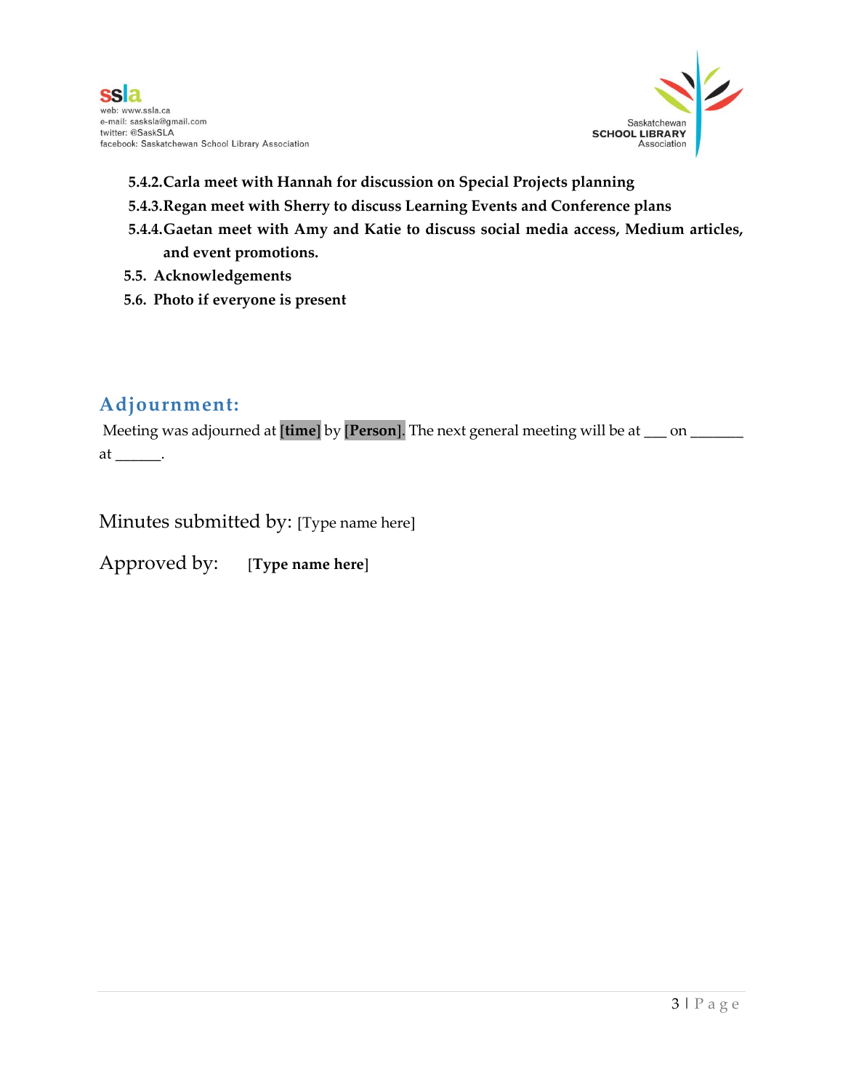

- **5.4.2.Carla meet with Hannah for discussion on Special Projects planning**
- **5.4.3.Regan meet with Sherry to discuss Learning Events and Conference plans**
- **5.4.4.Gaetan meet with Amy and Katie to discuss social media access, Medium articles, and event promotions.**
- **5.5. Acknowledgements**
- **5.6. Photo if everyone is present**

### **Adjournment:**

Meeting was adjourned at [**time**] by [**Person**]. The next general meeting will be at \_\_\_ on \_\_\_\_\_\_\_ at \_\_\_\_\_\_\_\_.

Minutes submitted by: [Type name here]

Approved by: [**Type name here**]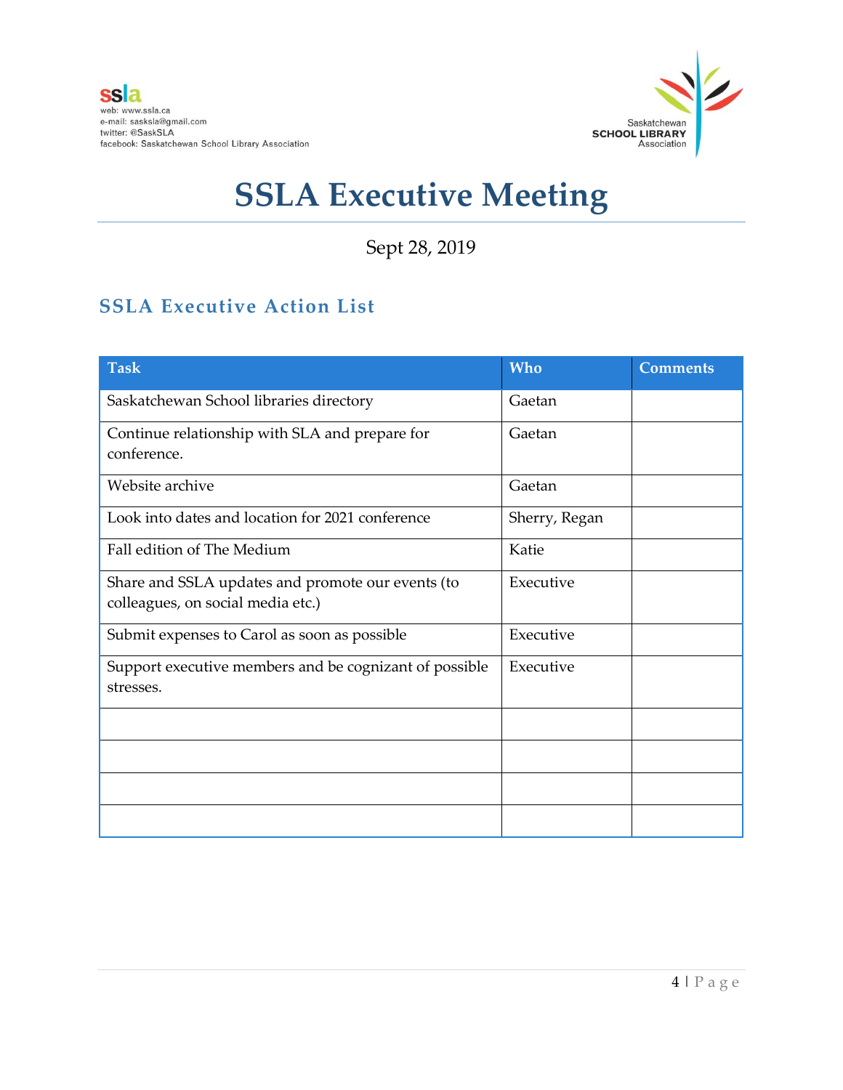

Sept 28, 2019

### **SSLA Executive Action List**

| <b>Task</b>                                                                            | <b>Who</b>    | <b>Comments</b> |
|----------------------------------------------------------------------------------------|---------------|-----------------|
| Saskatchewan School libraries directory                                                | Gaetan        |                 |
| Continue relationship with SLA and prepare for<br>conference.                          | Gaetan        |                 |
| Website archive                                                                        | Gaetan        |                 |
| Look into dates and location for 2021 conference                                       | Sherry, Regan |                 |
| Fall edition of The Medium                                                             | Katie         |                 |
| Share and SSLA updates and promote our events (to<br>colleagues, on social media etc.) | Executive     |                 |
| Submit expenses to Carol as soon as possible                                           | Executive     |                 |
| Support executive members and be cognizant of possible<br>stresses.                    | Executive     |                 |
|                                                                                        |               |                 |
|                                                                                        |               |                 |
|                                                                                        |               |                 |
|                                                                                        |               |                 |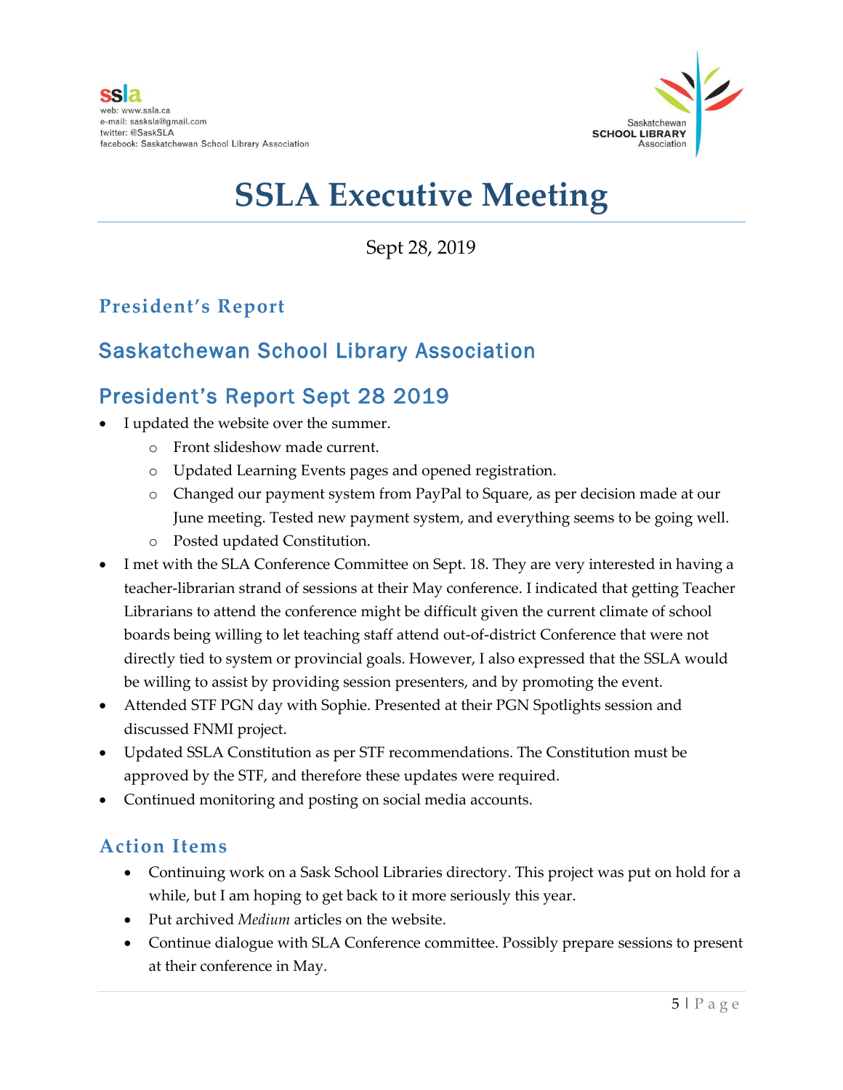

Sept 28, 2019

### **President's Report**

### Saskatchewan School Library Association

### President's Report Sept 28 2019

- I updated the website over the summer.
	- o Front slideshow made current.
	- o Updated Learning Events pages and opened registration.
	- o Changed our payment system from PayPal to Square, as per decision made at our June meeting. Tested new payment system, and everything seems to be going well.
	- o Posted updated Constitution.
- I met with the SLA Conference Committee on Sept. 18. They are very interested in having a teacher-librarian strand of sessions at their May conference. I indicated that getting Teacher Librarians to attend the conference might be difficult given the current climate of school boards being willing to let teaching staff attend out-of-district Conference that were not directly tied to system or provincial goals. However, I also expressed that the SSLA would be willing to assist by providing session presenters, and by promoting the event.
- Attended STF PGN day with Sophie. Presented at their PGN Spotlights session and discussed FNMI project.
- Updated SSLA Constitution as per STF recommendations. The Constitution must be approved by the STF, and therefore these updates were required.
- Continued monitoring and posting on social media accounts.

### **Action Items**

- Continuing work on a Sask School Libraries directory. This project was put on hold for a while, but I am hoping to get back to it more seriously this year.
- Put archived *Medium* articles on the website.
- Continue dialogue with SLA Conference committee. Possibly prepare sessions to present at their conference in May.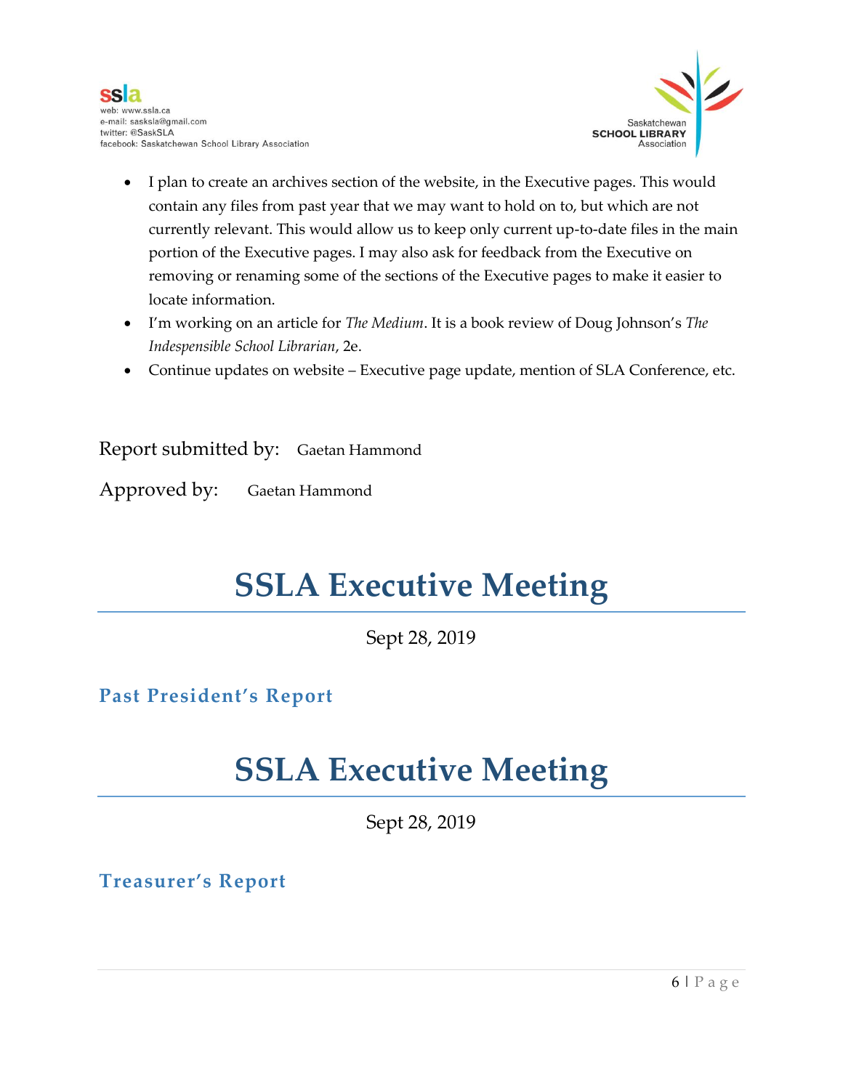

- I plan to create an archives section of the website, in the Executive pages. This would contain any files from past year that we may want to hold on to, but which are not currently relevant. This would allow us to keep only current up-to-date files in the main portion of the Executive pages. I may also ask for feedback from the Executive on removing or renaming some of the sections of the Executive pages to make it easier to locate information.
- I'm working on an article for *The Medium*. It is a book review of Doug Johnson's *The Indespensible School Librarian*, 2e.
- Continue updates on website Executive page update, mention of SLA Conference, etc.

Report submitted by: Gaetan Hammond

Approved by: Gaetan Hammond

# **SSLA Executive Meeting**

Sept 28, 2019

#### **Past President's Report**

### **SSLA Executive Meeting**

Sept 28, 2019

**Treasurer's Report**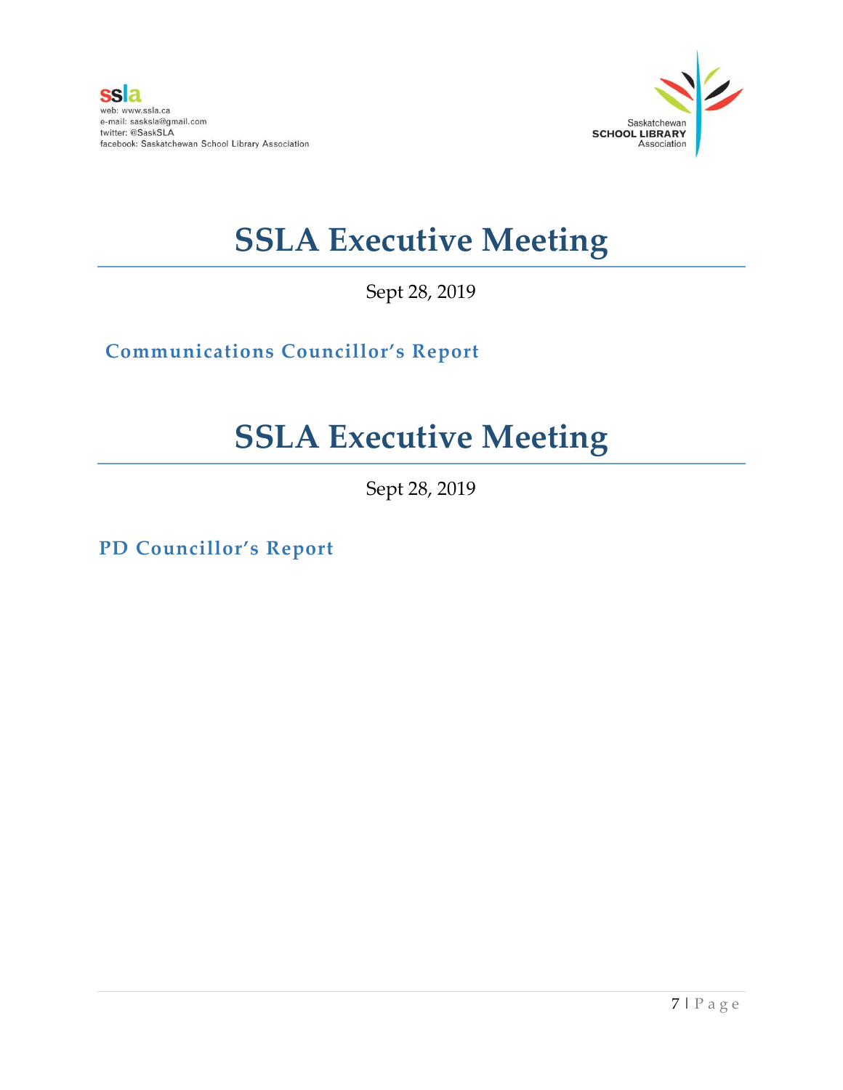

### Sept 28, 2019

### **Communications Councillor's Report**

## **SSLA Executive Meeting**

Sept 28, 2019

**PD Councillor's Report**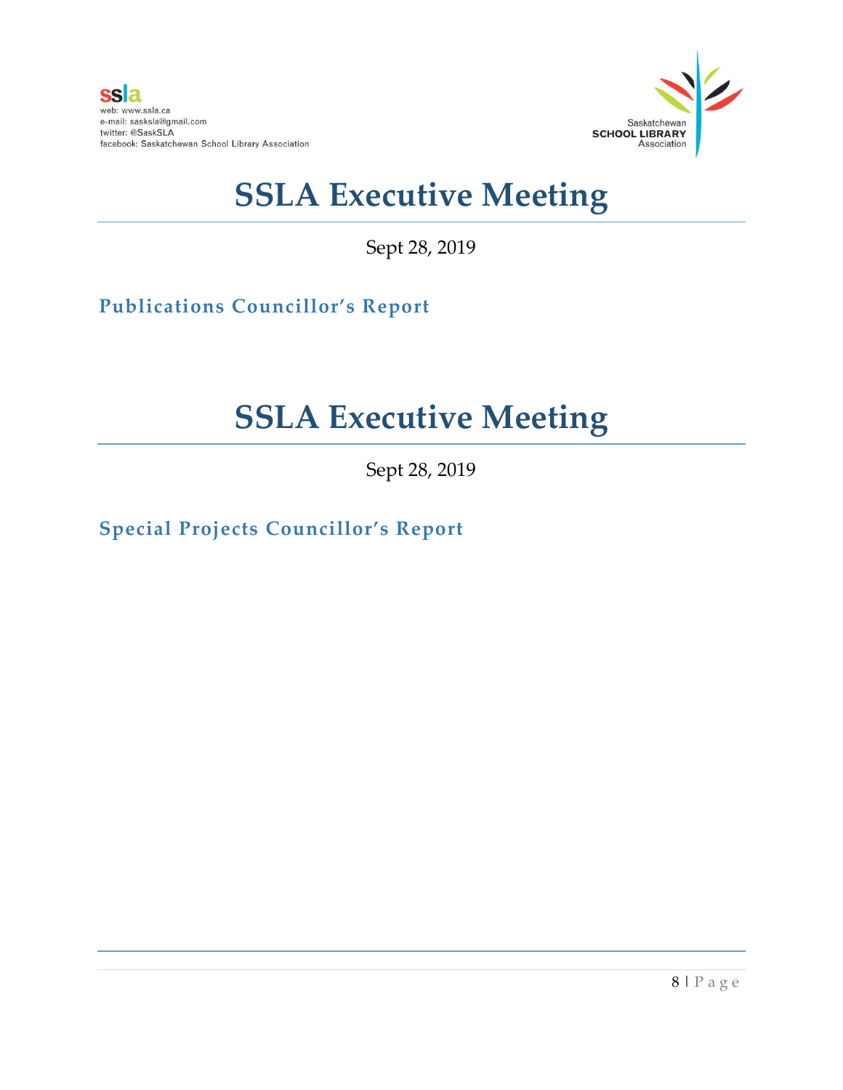

Sept 28, 2019

**Publications Councillor's Report**

# **SSLA Executive Meeting**

Sept 28, 2019

**Special Projects Councillor's Report**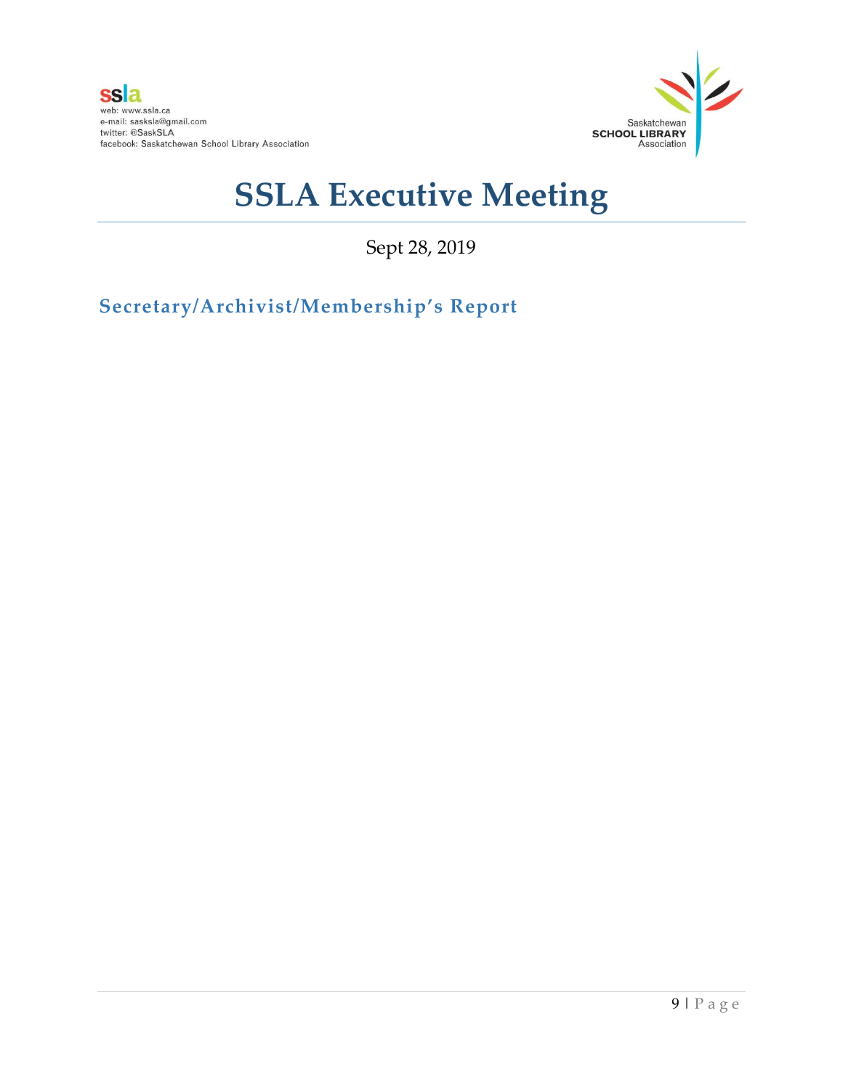

Sept 28, 2019

**Secretary/Archivist/Membership's Report**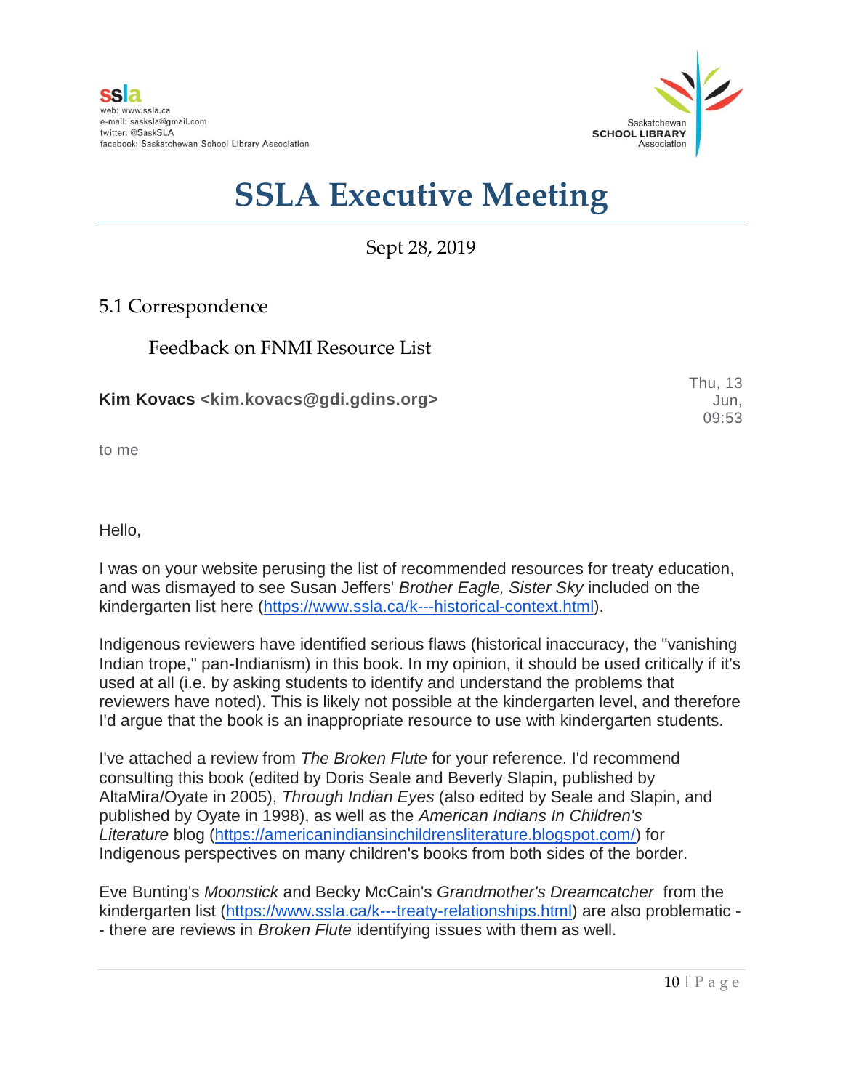

Sept 28, 2019

#### 5.1 Correspondence

Feedback on FNMI Resource List

**Kim Kovacs <kim.kovacs@gdi.gdins.org>**

Thu, 13 Jun, 09:53

to me

Hello,

I was on your website perusing the list of recommended resources for treaty education, and was dismayed to see Susan Jeffers' *Brother Eagle, Sister Sky* included on the kindergarten list here [\(https://www.ssla.ca/k---historical-context.html\)](https://www.ssla.ca/k---historical-context.html).

Indigenous reviewers have identified serious flaws (historical inaccuracy, the "vanishing Indian trope," pan-Indianism) in this book. In my opinion, it should be used critically if it's used at all (i.e. by asking students to identify and understand the problems that reviewers have noted). This is likely not possible at the kindergarten level, and therefore I'd argue that the book is an inappropriate resource to use with kindergarten students.

I've attached a review from *The Broken Flute* for your reference. I'd recommend consulting this book (edited by Doris Seale and Beverly Slapin, published by AltaMira/Oyate in 2005), *Through Indian Eyes* (also edited by Seale and Slapin, and published by Oyate in 1998), as well as the *American Indians In Children's Literature* blog [\(https://americanindiansinchildrensliterature.blogspot.com/\)](https://americanindiansinchildrensliterature.blogspot.com/) for Indigenous perspectives on many children's books from both sides of the border.

Eve Bunting's *Moonstick* and Becky McCain's *Grandmother's Dreamcatcher* from the kindergarten list [\(https://www.ssla.ca/k---treaty-relationships.html\)](https://www.ssla.ca/k---treaty-relationships.html) are also problematic - - there are reviews in *Broken Flute* identifying issues with them as well.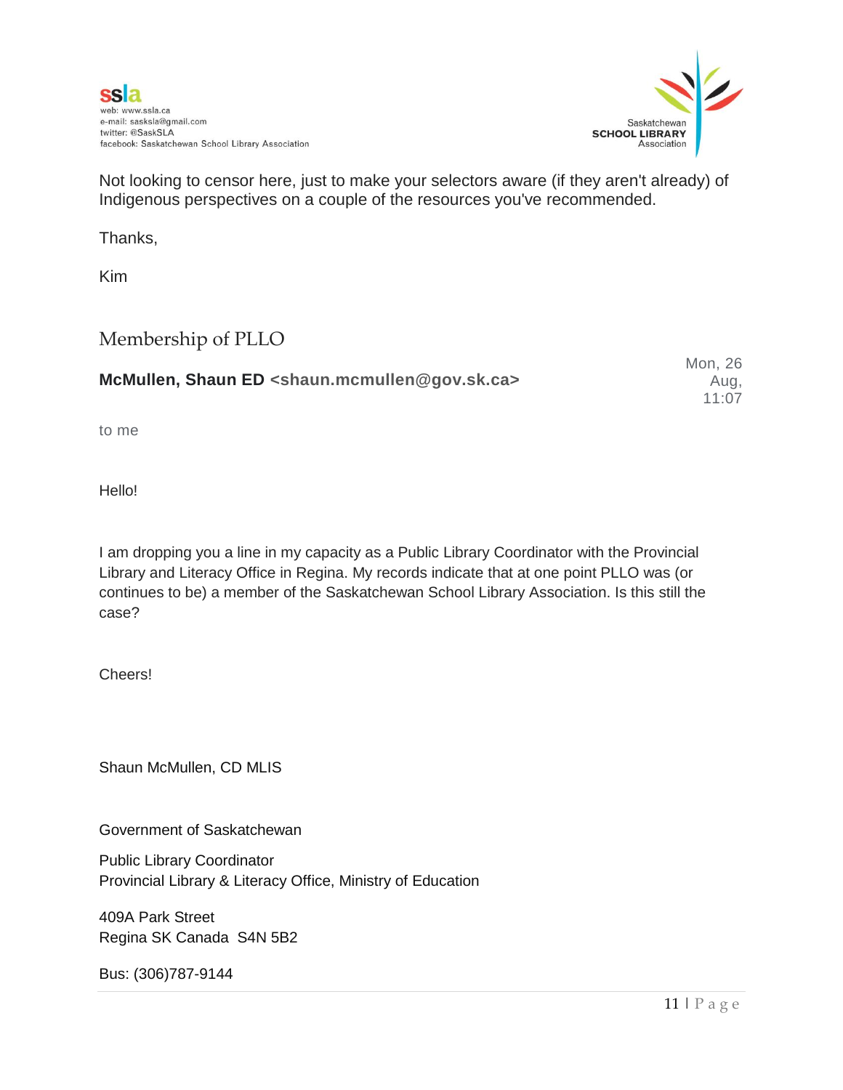

Not looking to censor here, just to make your selectors aware (if they aren't already) of Indigenous perspectives on a couple of the resources you've recommended.

Thanks,

Kim

#### Membership of PLLO

|                                                                          | Mon, 26 |
|--------------------------------------------------------------------------|---------|
| McMullen, Shaun ED <shaun.mcmullen@gov.sk.ca></shaun.mcmullen@gov.sk.ca> | Aug,    |
|                                                                          | 11:07   |

to me

Hello!

I am dropping you a line in my capacity as a Public Library Coordinator with the Provincial Library and Literacy Office in Regina. My records indicate that at one point PLLO was (or continues to be) a member of the Saskatchewan School Library Association. Is this still the case?

Cheers!

Shaun McMullen, CD MLIS

Government of Saskatchewan

Public Library Coordinator Provincial Library & Literacy Office, Ministry of Education

409A Park Street Regina SK Canada S4N 5B2

Bus: (306)787-9144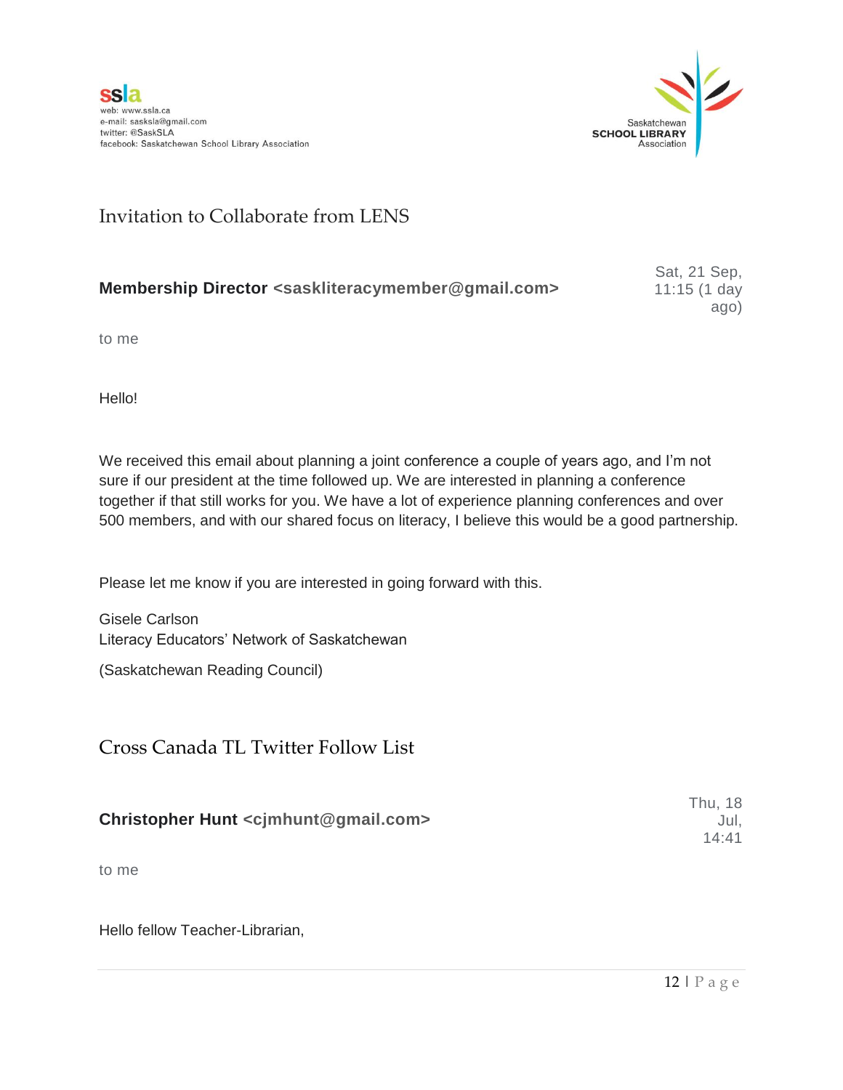

### Invitation to Collaborate from LENS

#### **Membership Director <saskliteracymember@gmail.com>**

Sat, 21 Sep, 11:15 (1 day ago)

to me

Hello!

We received this email about planning a joint conference a couple of years ago, and I'm not sure if our president at the time followed up. We are interested in planning a conference together if that still works for you. We have a lot of experience planning conferences and over 500 members, and with our shared focus on literacy, I believe this would be a good partnership.

Please let me know if you are interested in going forward with this.

Gisele Carlson Literacy Educators' Network of Saskatchewan

(Saskatchewan Reading Council)

#### Cross Canada TL Twitter Follow List

|                                                          | Thu. 18 |
|----------------------------------------------------------|---------|
| Christopher Hunt <cimhunt@gmail.com></cimhunt@gmail.com> | Jul.    |
|                                                          | 14:41   |

to me

Hello fellow Teacher-Librarian,